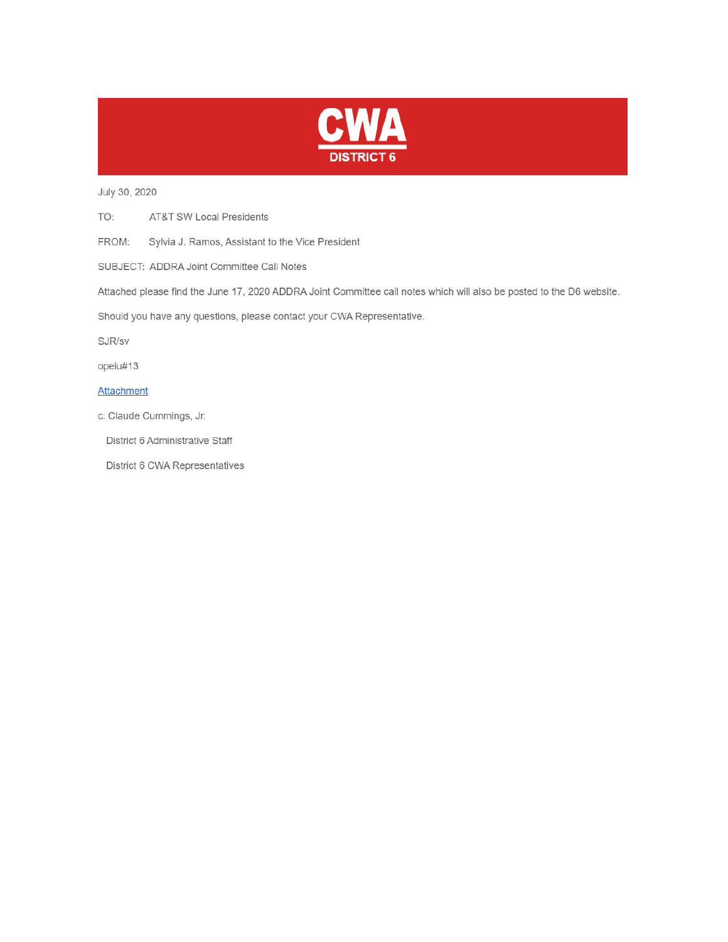

July 30, 2020

TO: **AT&T SW Local Presidents** 

FROM: Sylvia J. Ramos, Assistant to the Vice President

SUBJECT: ADDRA Joint Committee Call Notes

Attached please find the June 17, 2020 ADDRA Joint Committee call notes which will also be posted to the D6 website.

Should you have any questions, please contact your CWA Representative.

SJR/sv

opeiu#13

#### **Attachment**

c: Claude Cummings, Jr.

District 6 Administrative Staff

District 6 CWA Representatives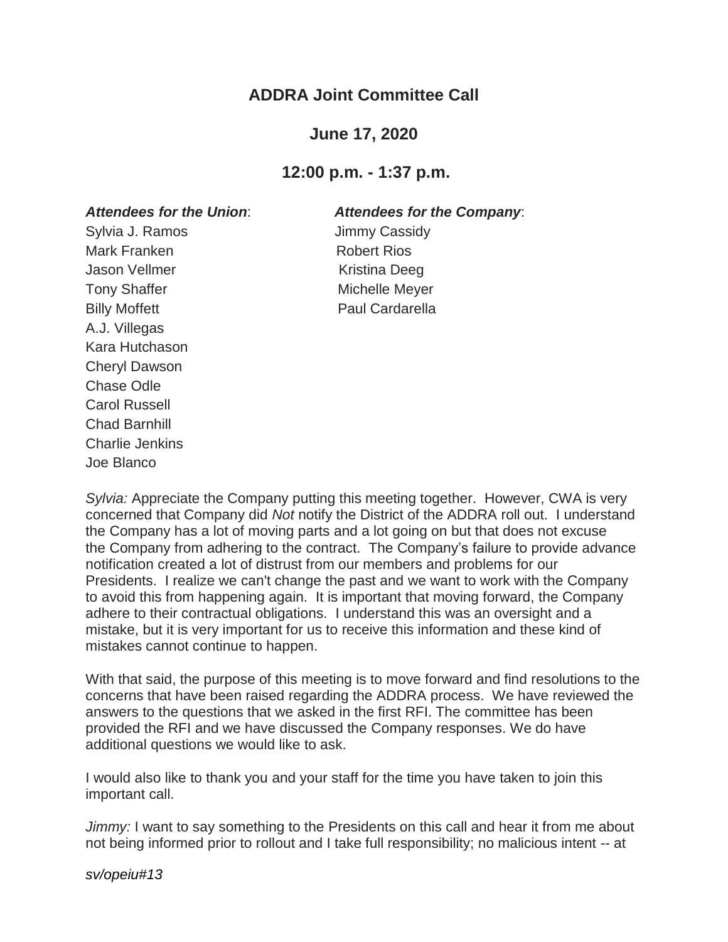# **ADDRA Joint Committee Call**

## **June 17, 2020**

### **12:00 p.m. - 1:37 p.m.**

#### *Attendees for the Union*: *Attendees for the Company*:

Sylvia J. Ramos **Jimmy Cassidy** Mark Franken **Robert Rios** Jason Vellmer **Kristina** Deeg Tony Shaffer **Michelle Meyer** Michelle Meyer Billy Moffett **Paul Cardarella** A.J. Villegas Kara Hutchason Cheryl Dawson Chase Odle Carol Russell Chad Barnhill Charlie Jenkins Joe Blanco

*Sylvia:* Appreciate the Company putting this meeting together. However, CWA is very concerned that Company did *Not* notify the District of the ADDRA roll out. I understand the Company has a lot of moving parts and a lot going on but that does not excuse the Company from adhering to the contract. The Company's failure to provide advance notification created a lot of distrust from our members and problems for our Presidents. I realize we can't change the past and we want to work with the Company to avoid this from happening again. It is important that moving forward, the Company adhere to their contractual obligations. I understand this was an oversight and a mistake, but it is very important for us to receive this information and these kind of mistakes cannot continue to happen.

With that said, the purpose of this meeting is to move forward and find resolutions to the concerns that have been raised regarding the ADDRA process. We have reviewed the answers to the questions that we asked in the first RFI. The committee has been provided the RFI and we have discussed the Company responses. We do have additional questions we would like to ask.

I would also like to thank you and your staff for the time you have taken to join this important call.

*Jimmy:* I want to say something to the Presidents on this call and hear it from me about not being informed prior to rollout and I take full responsibility; no malicious intent -- at

*sv/opeiu#13*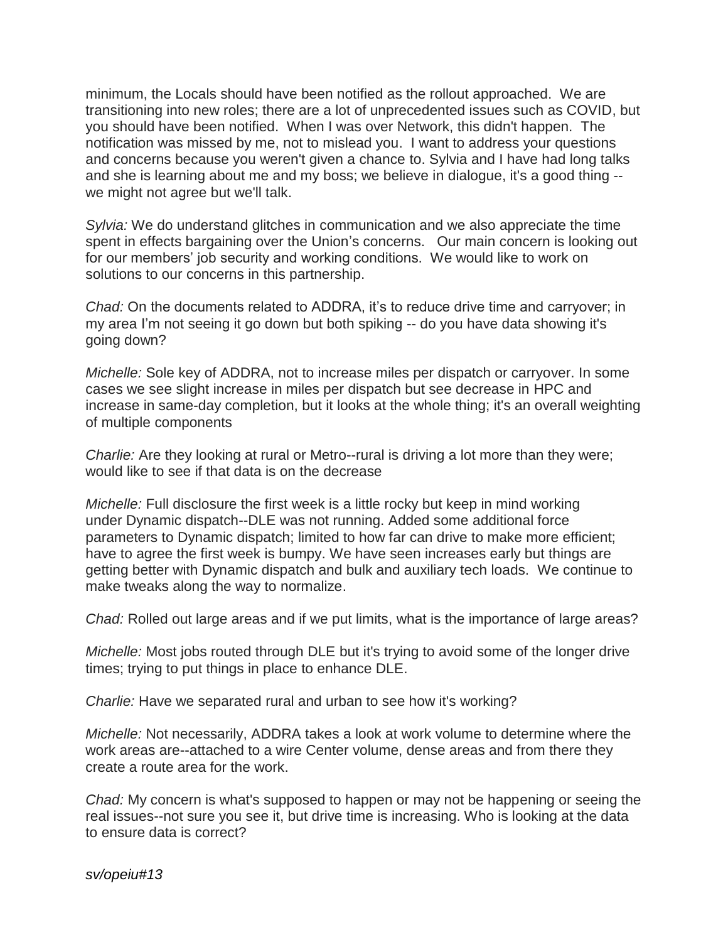minimum, the Locals should have been notified as the rollout approached. We are transitioning into new roles; there are a lot of unprecedented issues such as COVID, but you should have been notified. When I was over Network, this didn't happen. The notification was missed by me, not to mislead you. I want to address your questions and concerns because you weren't given a chance to. Sylvia and I have had long talks and she is learning about me and my boss; we believe in dialogue, it's a good thing - we might not agree but we'll talk.

*Sylvia:* We do understand glitches in communication and we also appreciate the time spent in effects bargaining over the Union's concerns. Our main concern is looking out for our members' job security and working conditions. We would like to work on solutions to our concerns in this partnership.

*Chad:* On the documents related to ADDRA, it's to reduce drive time and carryover; in my area I'm not seeing it go down but both spiking -- do you have data showing it's going down?

*Michelle:* Sole key of ADDRA, not to increase miles per dispatch or carryover. In some cases we see slight increase in miles per dispatch but see decrease in HPC and increase in same-day completion, but it looks at the whole thing; it's an overall weighting of multiple components

*Charlie:* Are they looking at rural or Metro--rural is driving a lot more than they were; would like to see if that data is on the decrease

*Michelle:* Full disclosure the first week is a little rocky but keep in mind working under Dynamic dispatch--DLE was not running. Added some additional force parameters to Dynamic dispatch; limited to how far can drive to make more efficient; have to agree the first week is bumpy. We have seen increases early but things are getting better with Dynamic dispatch and bulk and auxiliary tech loads. We continue to make tweaks along the way to normalize.

*Chad:* Rolled out large areas and if we put limits, what is the importance of large areas?

*Michelle:* Most jobs routed through DLE but it's trying to avoid some of the longer drive times; trying to put things in place to enhance DLE.

*Charlie:* Have we separated rural and urban to see how it's working?

*Michelle:* Not necessarily, ADDRA takes a look at work volume to determine where the work areas are--attached to a wire Center volume, dense areas and from there they create a route area for the work.

*Chad:* My concern is what's supposed to happen or may not be happening or seeing the real issues--not sure you see it, but drive time is increasing. Who is looking at the data to ensure data is correct?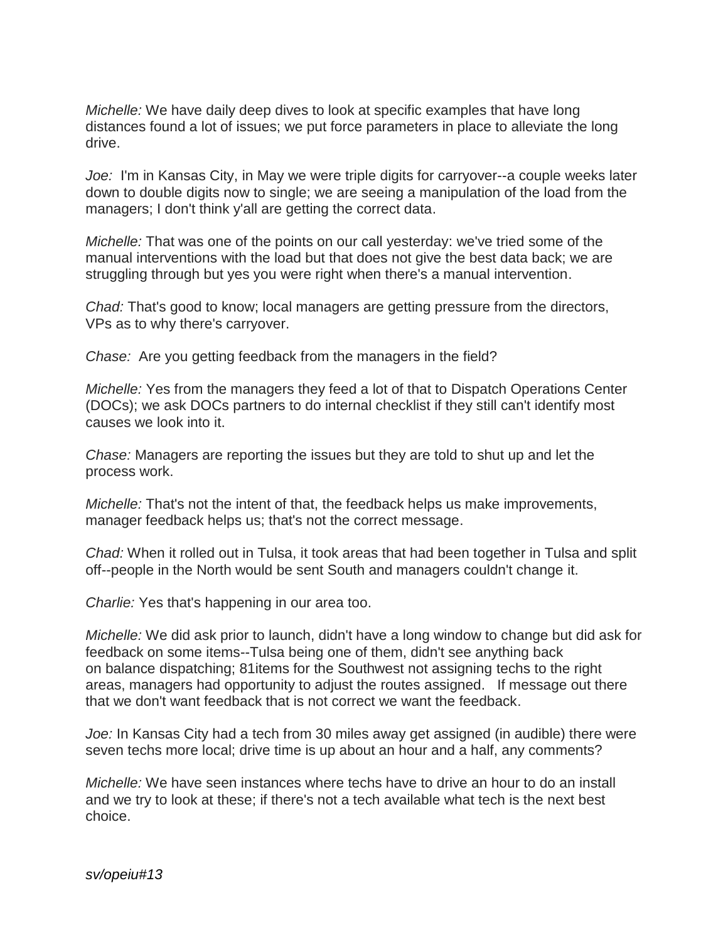*Michelle:* We have daily deep dives to look at specific examples that have long distances found a lot of issues; we put force parameters in place to alleviate the long drive.

*Joe:* I'm in Kansas City, in May we were triple digits for carryover--a couple weeks later down to double digits now to single; we are seeing a manipulation of the load from the managers; I don't think y'all are getting the correct data.

*Michelle:* That was one of the points on our call yesterday: we've tried some of the manual interventions with the load but that does not give the best data back; we are struggling through but yes you were right when there's a manual intervention.

*Chad:* That's good to know; local managers are getting pressure from the directors, VPs as to why there's carryover.

*Chase:* Are you getting feedback from the managers in the field?

*Michelle:* Yes from the managers they feed a lot of that to Dispatch Operations Center (DOCs); we ask DOCs partners to do internal checklist if they still can't identify most causes we look into it.

*Chase:* Managers are reporting the issues but they are told to shut up and let the process work.

*Michelle:* That's not the intent of that, the feedback helps us make improvements, manager feedback helps us; that's not the correct message.

*Chad:* When it rolled out in Tulsa, it took areas that had been together in Tulsa and split off--people in the North would be sent South and managers couldn't change it.

*Charlie:* Yes that's happening in our area too.

*Michelle:* We did ask prior to launch, didn't have a long window to change but did ask for feedback on some items--Tulsa being one of them, didn't see anything back on balance dispatching; 81items for the Southwest not assigning techs to the right areas, managers had opportunity to adjust the routes assigned. If message out there that we don't want feedback that is not correct we want the feedback.

*Joe:* In Kansas City had a tech from 30 miles away get assigned (in audible) there were seven techs more local; drive time is up about an hour and a half, any comments?

*Michelle:* We have seen instances where techs have to drive an hour to do an install and we try to look at these; if there's not a tech available what tech is the next best choice.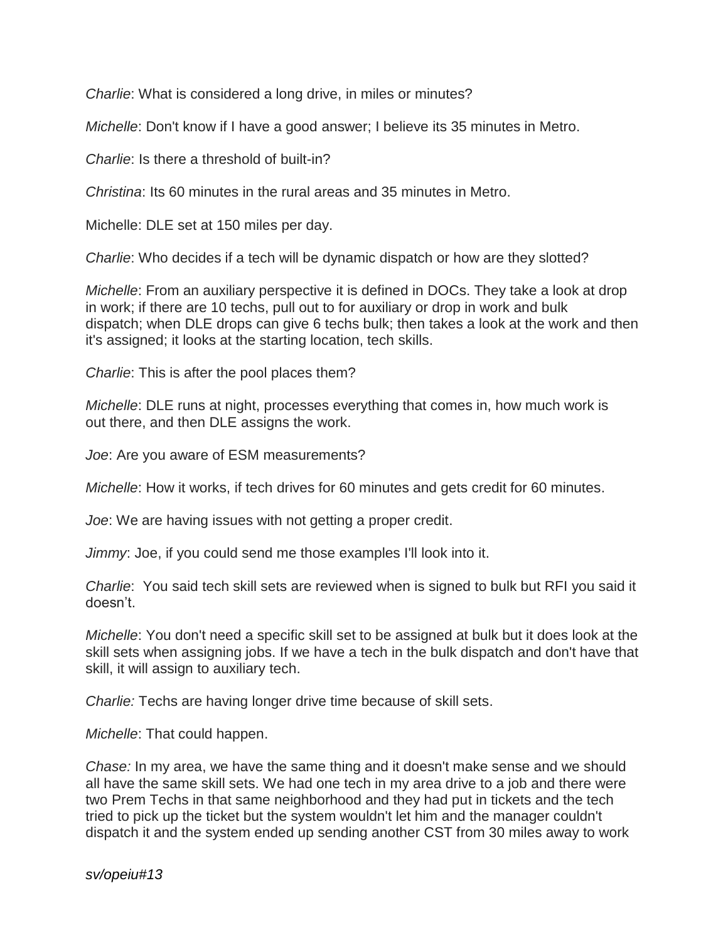*Charlie*: What is considered a long drive, in miles or minutes?

*Michelle*: Don't know if I have a good answer; I believe its 35 minutes in Metro.

*Charlie*: Is there a threshold of built-in?

*Christina*: Its 60 minutes in the rural areas and 35 minutes in Metro.

Michelle: DLE set at 150 miles per day.

*Charlie*: Who decides if a tech will be dynamic dispatch or how are they slotted?

*Michelle*: From an auxiliary perspective it is defined in DOCs. They take a look at drop in work; if there are 10 techs, pull out to for auxiliary or drop in work and bulk dispatch; when DLE drops can give 6 techs bulk; then takes a look at the work and then it's assigned; it looks at the starting location, tech skills.

*Charlie*: This is after the pool places them?

*Michelle*: DLE runs at night, processes everything that comes in, how much work is out there, and then DLE assigns the work.

*Joe*: Are you aware of ESM measurements?

*Michelle*: How it works, if tech drives for 60 minutes and gets credit for 60 minutes.

*Joe*: We are having issues with not getting a proper credit.

*Jimmy*: Joe, if you could send me those examples I'll look into it.

*Charlie*: You said tech skill sets are reviewed when is signed to bulk but RFI you said it doesn't.

*Michelle*: You don't need a specific skill set to be assigned at bulk but it does look at the skill sets when assigning jobs. If we have a tech in the bulk dispatch and don't have that skill, it will assign to auxiliary tech.

*Charlie:* Techs are having longer drive time because of skill sets.

*Michelle*: That could happen.

*Chase:* In my area, we have the same thing and it doesn't make sense and we should all have the same skill sets. We had one tech in my area drive to a job and there were two Prem Techs in that same neighborhood and they had put in tickets and the tech tried to pick up the ticket but the system wouldn't let him and the manager couldn't dispatch it and the system ended up sending another CST from 30 miles away to work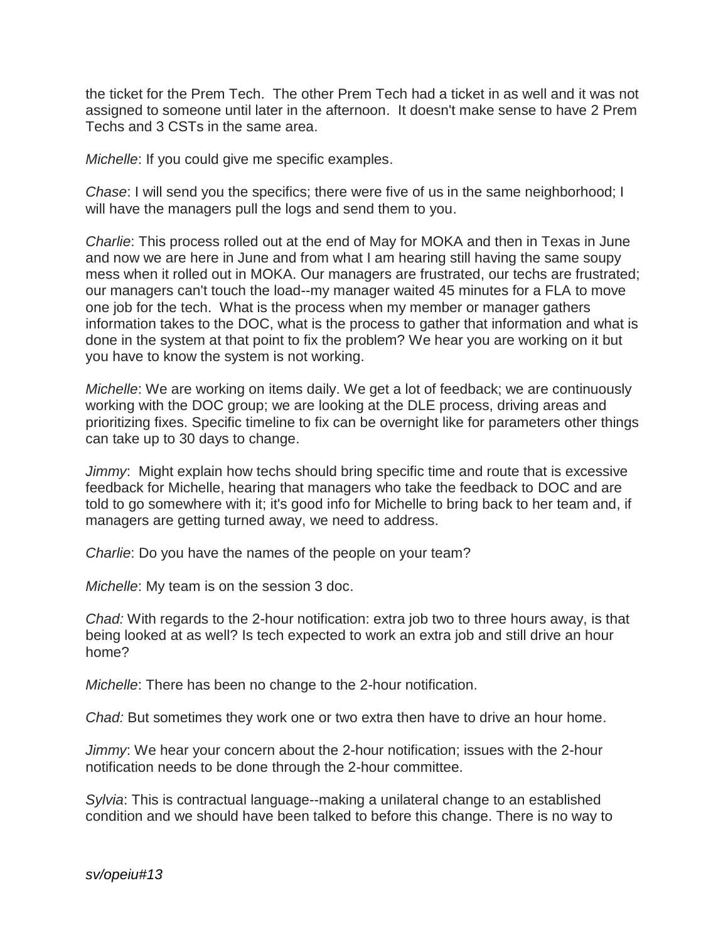the ticket for the Prem Tech. The other Prem Tech had a ticket in as well and it was not assigned to someone until later in the afternoon. It doesn't make sense to have 2 Prem Techs and 3 CSTs in the same area.

*Michelle*: If you could give me specific examples.

*Chase*: I will send you the specifics; there were five of us in the same neighborhood; I will have the managers pull the logs and send them to you.

*Charlie*: This process rolled out at the end of May for MOKA and then in Texas in June and now we are here in June and from what I am hearing still having the same soupy mess when it rolled out in MOKA. Our managers are frustrated, our techs are frustrated; our managers can't touch the load--my manager waited 45 minutes for a FLA to move one job for the tech. What is the process when my member or manager gathers information takes to the DOC, what is the process to gather that information and what is done in the system at that point to fix the problem? We hear you are working on it but you have to know the system is not working.

*Michelle*: We are working on items daily. We get a lot of feedback; we are continuously working with the DOC group; we are looking at the DLE process, driving areas and prioritizing fixes. Specific timeline to fix can be overnight like for parameters other things can take up to 30 days to change.

*Jimmy*: Might explain how techs should bring specific time and route that is excessive feedback for Michelle, hearing that managers who take the feedback to DOC and are told to go somewhere with it; it's good info for Michelle to bring back to her team and, if managers are getting turned away, we need to address.

*Charlie*: Do you have the names of the people on your team?

*Michelle*: My team is on the session 3 doc.

*Chad:* With regards to the 2-hour notification: extra job two to three hours away, is that being looked at as well? Is tech expected to work an extra job and still drive an hour home?

*Michelle*: There has been no change to the 2-hour notification.

*Chad:* But sometimes they work one or two extra then have to drive an hour home.

*Jimmy*: We hear your concern about the 2-hour notification; issues with the 2-hour notification needs to be done through the 2-hour committee.

*Sylvia*: This is contractual language--making a unilateral change to an established condition and we should have been talked to before this change. There is no way to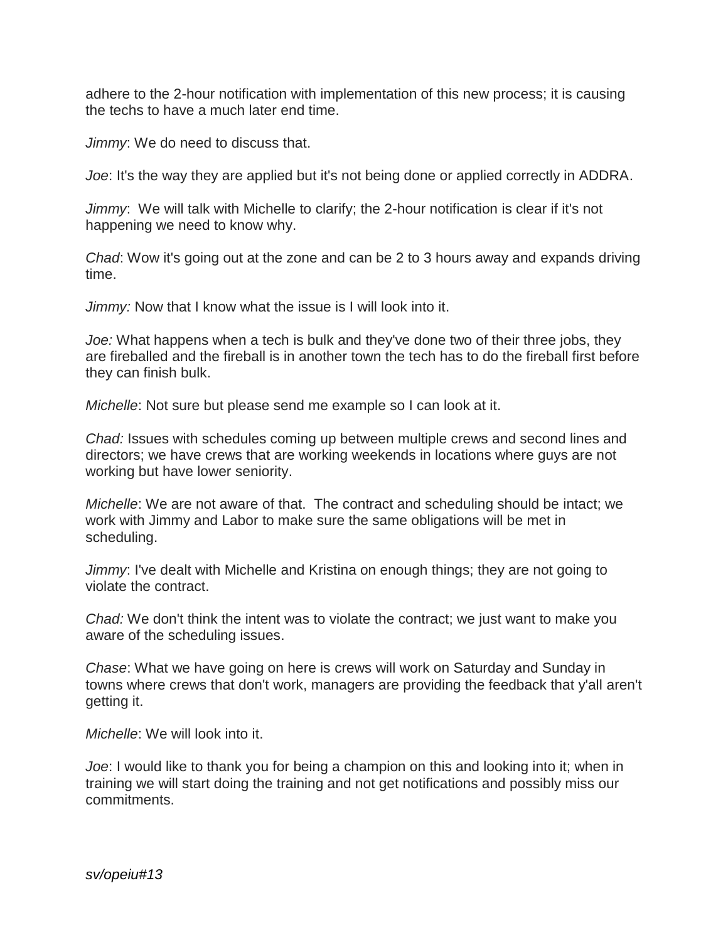adhere to the 2-hour notification with implementation of this new process; it is causing the techs to have a much later end time.

*Jimmy*: We do need to discuss that.

*Joe*: It's the way they are applied but it's not being done or applied correctly in ADDRA.

*Jimmy*: We will talk with Michelle to clarify; the 2-hour notification is clear if it's not happening we need to know why.

*Chad*: Wow it's going out at the zone and can be 2 to 3 hours away and expands driving time.

*Jimmy:* Now that I know what the issue is I will look into it.

*Joe:* What happens when a tech is bulk and they've done two of their three jobs, they are fireballed and the fireball is in another town the tech has to do the fireball first before they can finish bulk.

*Michelle*: Not sure but please send me example so I can look at it.

*Chad:* Issues with schedules coming up between multiple crews and second lines and directors; we have crews that are working weekends in locations where guys are not working but have lower seniority.

*Michelle*: We are not aware of that. The contract and scheduling should be intact; we work with Jimmy and Labor to make sure the same obligations will be met in scheduling.

*Jimmy*: I've dealt with Michelle and Kristina on enough things; they are not going to violate the contract.

*Chad:* We don't think the intent was to violate the contract; we just want to make you aware of the scheduling issues.

*Chase*: What we have going on here is crews will work on Saturday and Sunday in towns where crews that don't work, managers are providing the feedback that y'all aren't getting it.

*Michelle*: We will look into it.

*Joe*: I would like to thank you for being a champion on this and looking into it; when in training we will start doing the training and not get notifications and possibly miss our commitments.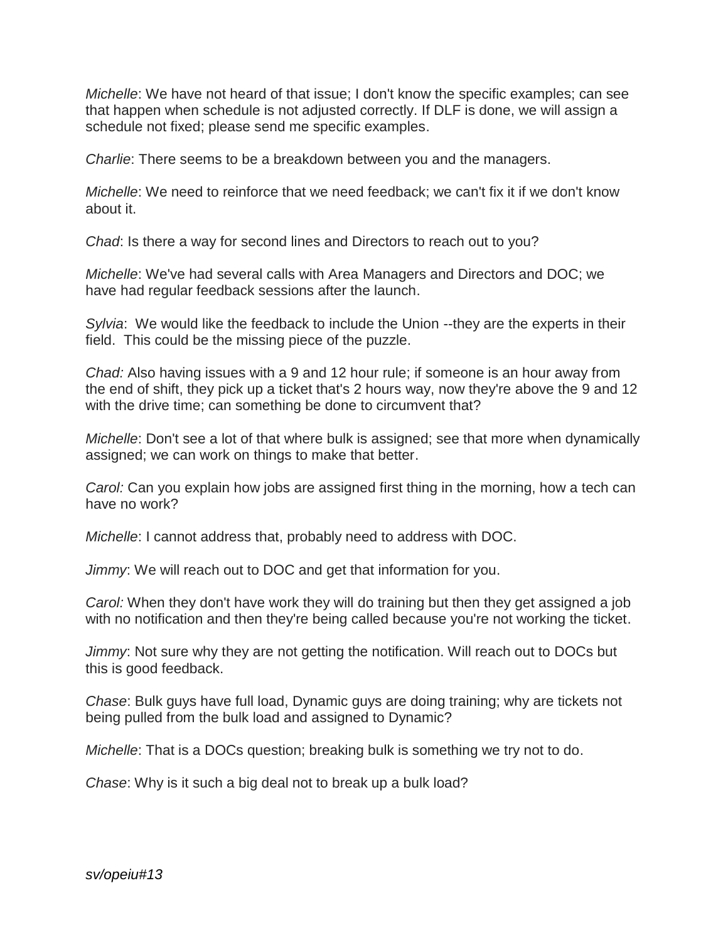*Michelle*: We have not heard of that issue; I don't know the specific examples; can see that happen when schedule is not adjusted correctly. If DLF is done, we will assign a schedule not fixed; please send me specific examples.

*Charlie*: There seems to be a breakdown between you and the managers.

*Michelle*: We need to reinforce that we need feedback; we can't fix it if we don't know about it.

*Chad*: Is there a way for second lines and Directors to reach out to you?

*Michelle*: We've had several calls with Area Managers and Directors and DOC; we have had regular feedback sessions after the launch.

*Sylvia*: We would like the feedback to include the Union --they are the experts in their field. This could be the missing piece of the puzzle.

*Chad:* Also having issues with a 9 and 12 hour rule; if someone is an hour away from the end of shift, they pick up a ticket that's 2 hours way, now they're above the 9 and 12 with the drive time; can something be done to circumvent that?

*Michelle*: Don't see a lot of that where bulk is assigned; see that more when dynamically assigned; we can work on things to make that better.

*Carol:* Can you explain how jobs are assigned first thing in the morning, how a tech can have no work?

*Michelle*: I cannot address that, probably need to address with DOC.

*Jimmy*: We will reach out to DOC and get that information for you.

*Carol:* When they don't have work they will do training but then they get assigned a job with no notification and then they're being called because you're not working the ticket.

*Jimmy*: Not sure why they are not getting the notification. Will reach out to DOCs but this is good feedback.

*Chase*: Bulk guys have full load, Dynamic guys are doing training; why are tickets not being pulled from the bulk load and assigned to Dynamic?

*Michelle*: That is a DOCs question; breaking bulk is something we try not to do.

*Chase*: Why is it such a big deal not to break up a bulk load?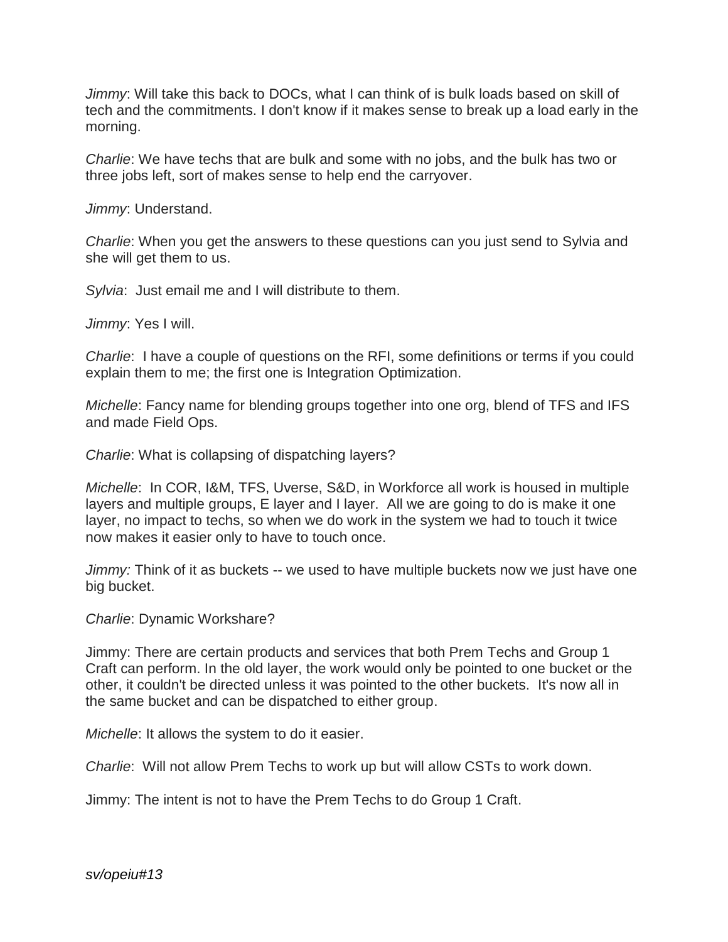*Jimmy*: Will take this back to DOCs, what I can think of is bulk loads based on skill of tech and the commitments. I don't know if it makes sense to break up a load early in the morning.

*Charlie*: We have techs that are bulk and some with no jobs, and the bulk has two or three jobs left, sort of makes sense to help end the carryover.

*Jimmy*: Understand.

*Charlie*: When you get the answers to these questions can you just send to Sylvia and she will get them to us.

*Sylvia*: Just email me and I will distribute to them.

*Jimmy*: Yes I will.

*Charlie*: I have a couple of questions on the RFI, some definitions or terms if you could explain them to me; the first one is Integration Optimization.

*Michelle*: Fancy name for blending groups together into one org, blend of TFS and IFS and made Field Ops.

*Charlie*: What is collapsing of dispatching layers?

*Michelle*: In COR, I&M, TFS, Uverse, S&D, in Workforce all work is housed in multiple layers and multiple groups, E layer and I layer. All we are going to do is make it one layer, no impact to techs, so when we do work in the system we had to touch it twice now makes it easier only to have to touch once.

*Jimmy:* Think of it as buckets -- we used to have multiple buckets now we just have one big bucket.

*Charlie*: Dynamic Workshare?

Jimmy: There are certain products and services that both Prem Techs and Group 1 Craft can perform. In the old layer, the work would only be pointed to one bucket or the other, it couldn't be directed unless it was pointed to the other buckets. It's now all in the same bucket and can be dispatched to either group.

*Michelle*: It allows the system to do it easier.

*Charlie*: Will not allow Prem Techs to work up but will allow CSTs to work down.

Jimmy: The intent is not to have the Prem Techs to do Group 1 Craft.